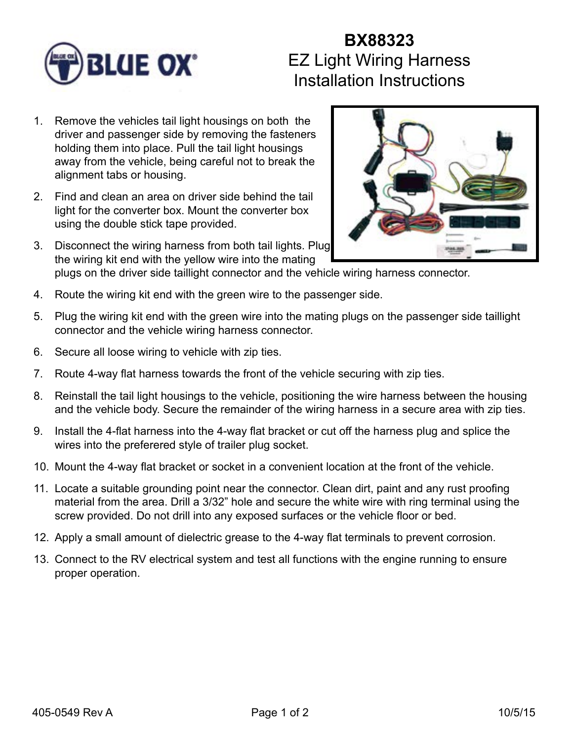

## **BX88323** EZ Light Wiring Harness Installation Instructions

- 1. Remove the vehicles tail light housings on both the driver and passenger side by removing the fasteners holding them into place. Pull the tail light housings away from the vehicle, being careful not to break the alignment tabs or housing.
- 2. Find and clean an area on driver side behind the tail light for the converter box. Mount the converter box using the double stick tape provided.
- 3. Disconnect the wiring harness from both tail lights. Plug the wiring kit end with the yellow wire into the mating



- plugs on the driver side taillight connector and the vehicle wiring harness connector.
- 4. Route the wiring kit end with the green wire to the passenger side.
- 5. Plug the wiring kit end with the green wire into the mating plugs on the passenger side taillight connector and the vehicle wiring harness connector.
- 6. Secure all loose wiring to vehicle with zip ties.
- 7. Route 4-way flat harness towards the front of the vehicle securing with zip ties.
- 8. Reinstall the tail light housings to the vehicle, positioning the wire harness between the housing and the vehicle body. Secure the remainder of the wiring harness in a secure area with zip ties.
- 9. Install the 4-flat harness into the 4-way flat bracket or cut off the harness plug and splice the wires into the preferered style of trailer plug socket.
- 10. Mount the 4-way flat bracket or socket in a convenient location at the front of the vehicle.
- 11. Locate a suitable grounding point near the connector. Clean dirt, paint and any rust proofing material from the area. Drill a 3/32" hole and secure the white wire with ring terminal using the screw provided. Do not drill into any exposed surfaces or the vehicle floor or bed.
- 12. Apply a small amount of dielectric grease to the 4-way flat terminals to prevent corrosion.
- 13. Connect to the RV electrical system and test all functions with the engine running to ensure proper operation.